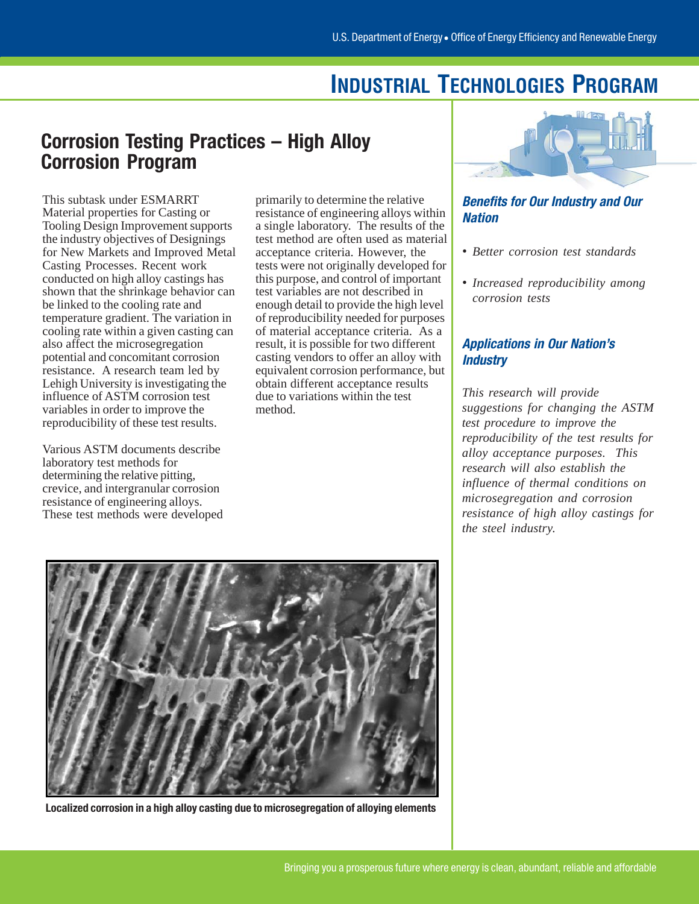## **INDUSTRIAL TECHNOLOGIES PROGRAM**

## Corrosion Testing Practices – High Alloy Corrosion Program

This subtask under ESMARRT Material properties for Casting or Tooling Design Improvement supports the industry objectives of Designings for New Markets and Improved Metal Casting Processes. Recent work conducted on high alloy castings has shown that the shrinkage behavior can be linked to the cooling rate and temperature gradient. The variation in cooling rate within a given casting can also affect the microsegregation potential and concomitant corrosion resistance. A research team led by Lehigh University is investigating the influence of ASTM corrosion test variables in order to improve the reproducibility of these test results.

Various ASTM documents describe laboratory test methods for determining the relative pitting, crevice, and intergranular corrosion resistance of engineering alloys. These test methods were developed

primarily to determine the relative resistance of engineering alloys within a single laboratory. The results of the test method are often used as material acceptance criteria. However, the tests were not originally developed for this purpose, and control of important test variables are not described in enough detail to provide the high level of reproducibility needed for purposes of material acceptance criteria. As a result, it is possible for two different casting vendors to offer an alloy with equivalent corrosion performance, but obtain different acceptance results due to variations within the test method.



#### Benefits for Our Industry and Our **Nation**

- *Better corrosion test standards*
- *Increased reproducibility among corrosion tests*

#### Applications in Our Nation's **Industry**

*This research will provide suggestions for changing the ASTM test procedure to improve the reproducibility of the test results for alloy acceptance purposes. This research will also establish the influence of thermal conditions on microsegregation and corrosion resistance of high alloy castings for the steel industry.* 



Localized corrosion in a high alloy casting due to microsegregation of alloying elements